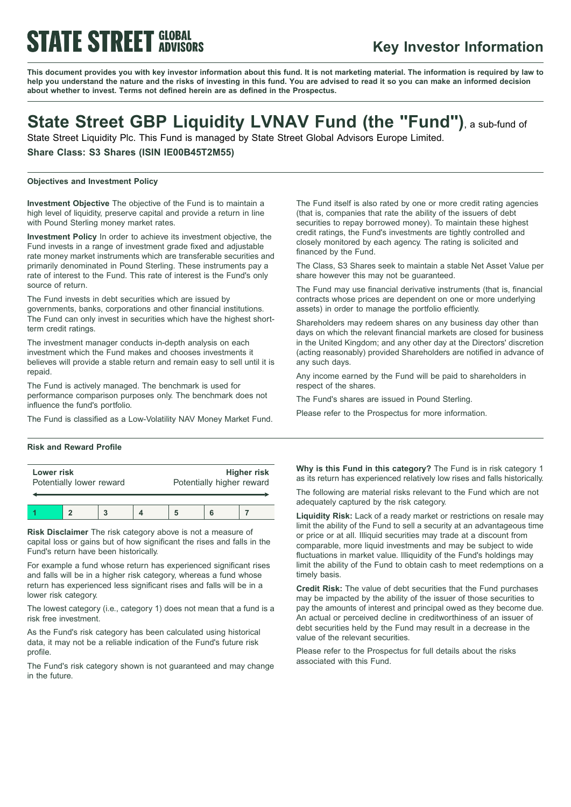# **STATE STREET GLOBAL**

### **Key Investor Information**

This document provides you with key investor information about this fund. It is not marketing material. The information is required by law to help you understand the nature and the risks of investing in this fund. You are advised to read it so you can make an informed decision **about whether to invest. Terms not defined herein are as defined in the Prospectus.**

### **State Street GBP Liquidity LVNAV Fund (the "Fund")**, <sup>a</sup> sub-fund of

State Street Liquidity Plc. This Fund is managed by State Street Global Advisors Europe Limited.

**Share Class: S3 Shares (ISIN IE00B45T2M55)**

#### **Objectives and Investment Policy**

**Investment Objective** The objective of the Fund is to maintain a high level of liquidity, preserve capital and provide a return in line with Pound Sterling money market rates.

**Investment Policy** In order to achieve its investment objective, the Fund invests in a range of investment grade fixed and adjustable rate money market instruments which are transferable securities and primarily denominated in Pound Sterling. These instruments pay a rate of interest to the Fund. This rate of interest is the Fund's only source of return.

The Fund invests in debt securities which are issued by governments, banks, corporations and other financial institutions. The Fund can only invest in securities which have the highest shortterm credit ratings.

The investment manager conducts in-depth analysis on each investment which the Fund makes and chooses investments it believes will provide a stable return and remain easy to sell until it is repaid.

The Fund is actively managed. The benchmark is used for performance comparison purposes only. The benchmark does not influence the fund's portfolio.

The Fund is classified as a Low-Volatility NAV Money Market Fund.

#### **Risk and Reward Profile**

| Lower risk               |  |  |  | <b>Higher risk</b>        |  |  |
|--------------------------|--|--|--|---------------------------|--|--|
| Potentially lower reward |  |  |  | Potentially higher reward |  |  |
|                          |  |  |  |                           |  |  |

**Risk Disclaimer** The risk category above is not a measure of capital loss or gains but of how significant the rises and falls in the Fund's return have been historically.

For example a fund whose return has experienced significant rises and falls will be in a higher risk category, whereas a fund whose return has experienced less significant rises and falls will be in a lower risk category.

The lowest category (i.e., category 1) does not mean that a fund is a risk free investment.

As the Fund's risk category has been calculated using historical data, it may not be a reliable indication of the Fund's future risk profile.

The Fund's risk category shown is not guaranteed and may change in the future.

The Fund itself is also rated by one or more credit rating agencies (that is, companies that rate the ability of the issuers of debt securities to repay borrowed money). To maintain these highest credit ratings, the Fund's investments are tightly controlled and closely monitored by each agency. The rating is solicited and financed by the Fund.

The Class, S3 Shares seek to maintain a stable Net Asset Value per share however this may not be guaranteed.

The Fund may use financial derivative instruments (that is, financial contracts whose prices are dependent on one or more underlying assets) in order to manage the portfolio efficiently.

Shareholders may redeem shares on any business day other than days on which the relevant financial markets are closed for business in the United Kingdom; and any other day at the Directors' discretion (acting reasonably) provided Shareholders are notified in advance of any such days.

Any income earned by the Fund will be paid to shareholders in respect of the shares.

The Fund's shares are issued in Pound Sterling.

Please refer to the Prospectus for more information.

**Why is this Fund in this category?** The Fund is in risk category 1 as its return has experienced relatively low rises and falls historically.

The following are material risks relevant to the Fund which are not adequately captured by the risk category.

**Liquidity Risk:** Lack of a ready market or restrictions on resale may limit the ability of the Fund to sell a security at an advantageous time or price or at all. Illiquid securities may trade at a discount from comparable, more liquid investments and may be subject to wide fluctuations in market value. Illiquidity of the Fund's holdings may limit the ability of the Fund to obtain cash to meet redemptions on a timely basis.

**Credit Risk:** The value of debt securities that the Fund purchases may be impacted by the ability of the issuer of those securities to pay the amounts of interest and principal owed as they become due. An actual or perceived decline in creditworthiness of an issuer of debt securities held by the Fund may result in a decrease in the value of the relevant securities.

Please refer to the Prospectus for full details about the risks associated with this Fund.